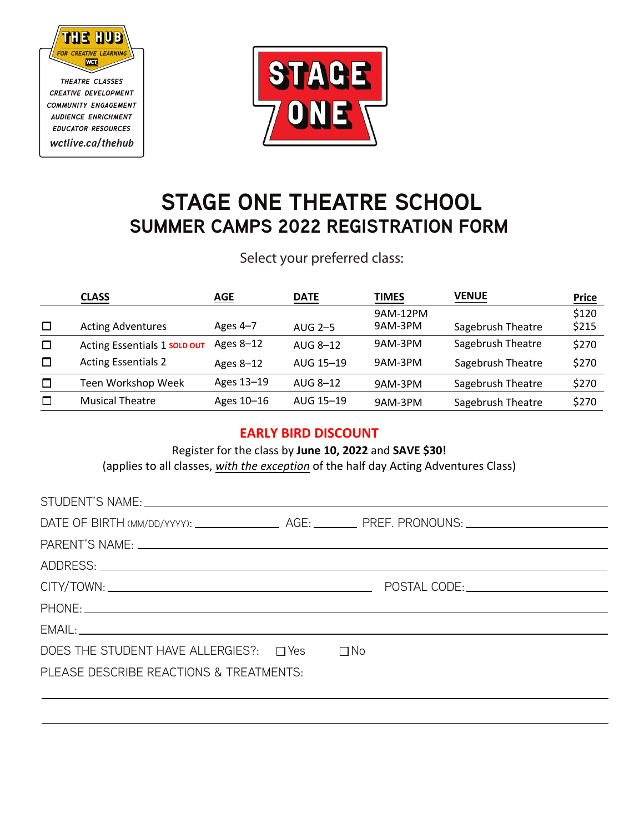

*theatre classes creative development community engagement audience enrichment educator resources wctlive.ca/thehub*



## **STAGE ONE THEATRE SCHOOL SUMMER CAMPS 2022 REGISTRATION FORM**

Select your preferred class:

|        | <b>CLASS</b>                 | AGE        | <b>DATE</b> | <b>TIMES</b> | <b>VENUE</b>      | <u>Price</u> |
|--------|------------------------------|------------|-------------|--------------|-------------------|--------------|
|        |                              |            |             | 9AM-12PM     |                   | \$120        |
| □      | <b>Acting Adventures</b>     | Ages $4-7$ | AUG 2-5     | 9AM-3PM      | Sagebrush Theatre | \$215        |
| $\Box$ | Acting Essentials 1 SOLD OUT | Ages 8-12  | AUG 8-12    | 9AM-3PM      | Sagebrush Theatre | \$270        |
| □      | <b>Acting Essentials 2</b>   | Ages 8-12  | AUG 15-19   | 9AM-3PM      | Sagebrush Theatre | \$270        |
| $\Box$ | Teen Workshop Week           | Ages 13-19 | AUG 8-12    | 9AM-3PM      | Sagebrush Theatre | \$270        |
| □      | <b>Musical Theatre</b>       | Ages 10-16 | AUG 15-19   | 9AM-3PM      | Sagebrush Theatre | \$270        |

## **EARLY BIRD DISCOUNT**

Register for the class by **June 10, 2022** and **SAVE \$30!**

(applies to all classes, *with the exception* of the half day Acting Adventures Class)

| STUDENT'S NAME: University of the STUDENT'S NAME: |  |
|---------------------------------------------------|--|
|                                                   |  |
|                                                   |  |
|                                                   |  |
|                                                   |  |
|                                                   |  |
|                                                   |  |
| DOES THE STUDENT HAVE ALLERGIES?: □ Yes □ No      |  |
| PLEASE DESCRIBE REACTIONS & TREATMENTS:           |  |
|                                                   |  |
|                                                   |  |